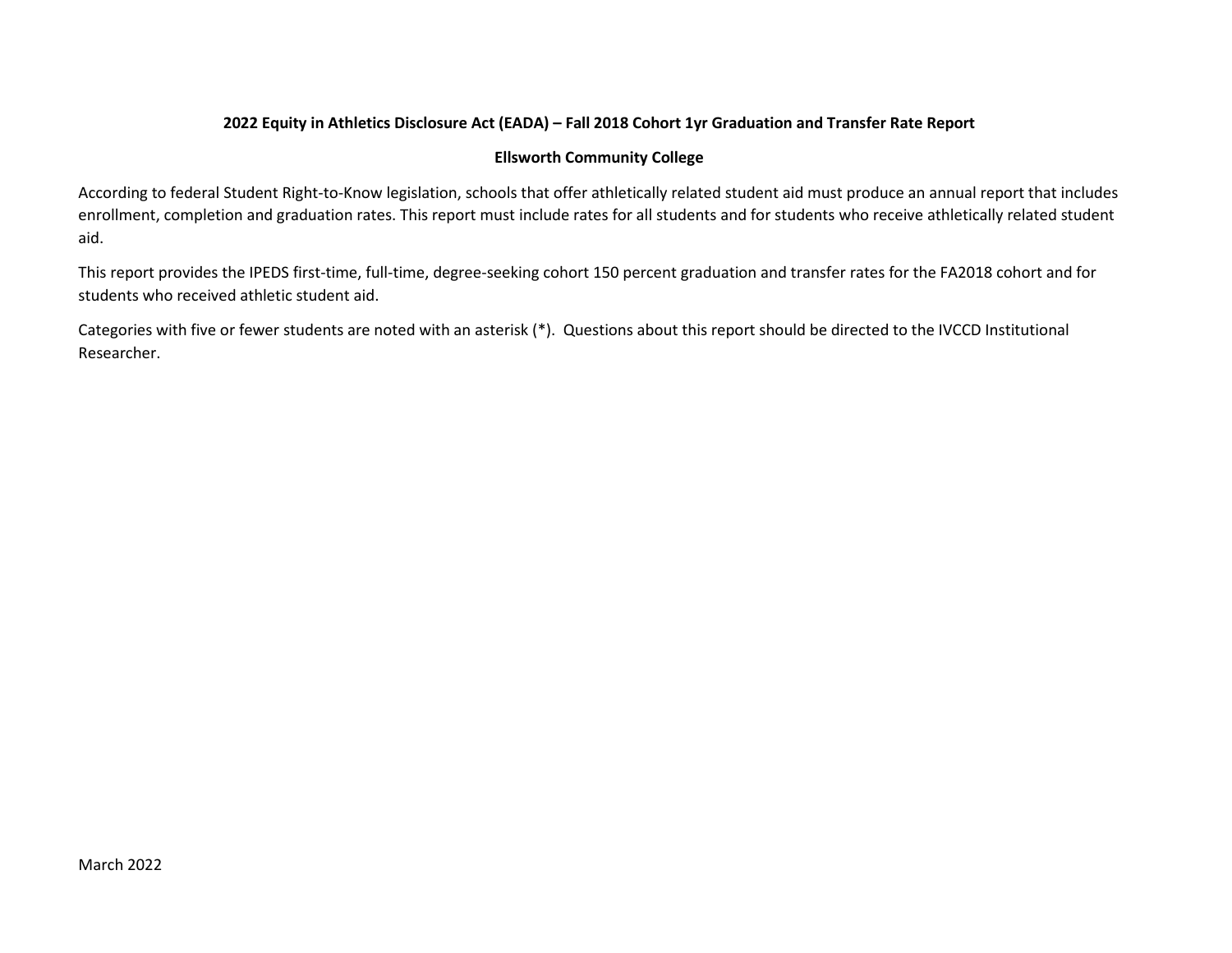## 2022 Equity in Athletics Disclosure Act (EADA) – Fall 2018 Cohort 1yr Graduation and Transfer Rate Report

#### Ellsworth Community College

According to federal Student Right-to-Know legislation, schools that offer athletically related student aid must produce an annual report that includes enrollment, completion and graduation rates. This report must include rates for all students and for students who receive athletically related student aid.

This report provides the IPEDS first-time, full-time, degree-seeking cohort 150 percent graduation and transfer rates for the FA2018 cohort and for students who received athletic student aid.

Categories with five or fewer students are noted with an asterisk (\*). Questions about this report should be directed to the IVCCD Institutional Researcher.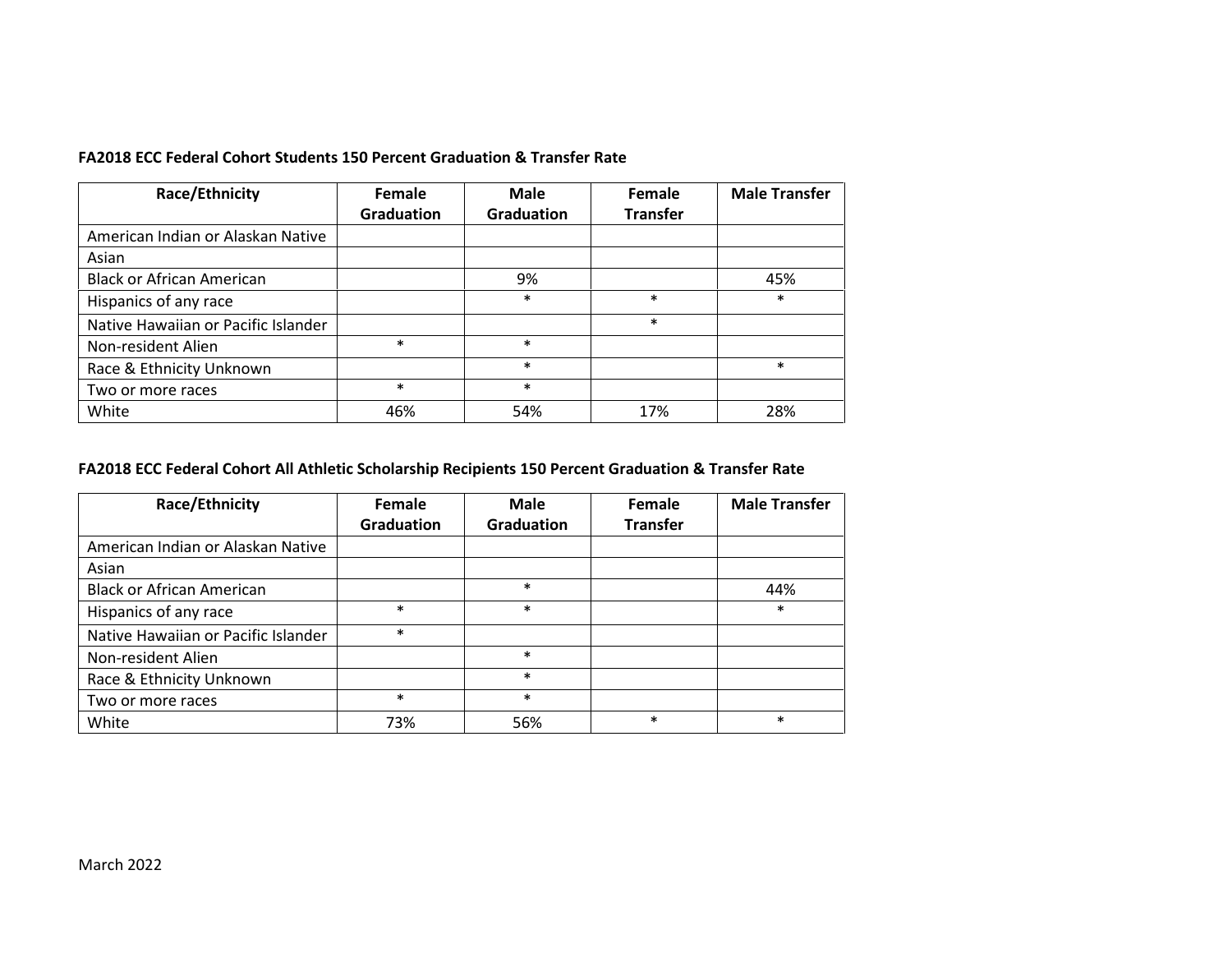### FA2018 ECC Federal Cohort Students 150 Percent Graduation & Transfer Rate

| Race/Ethnicity                      | Female     | <b>Male</b>       | Female          | <b>Male Transfer</b> |
|-------------------------------------|------------|-------------------|-----------------|----------------------|
|                                     | Graduation | <b>Graduation</b> | <b>Transfer</b> |                      |
| American Indian or Alaskan Native   |            |                   |                 |                      |
| Asian                               |            |                   |                 |                      |
| <b>Black or African American</b>    |            | 9%                |                 | 45%                  |
| Hispanics of any race               |            | $\ast$            | $\ast$          | $\ast$               |
| Native Hawaiian or Pacific Islander |            |                   | $\ast$          |                      |
| Non-resident Alien                  | $\ast$     | $\ast$            |                 |                      |
| Race & Ethnicity Unknown            |            | $\ast$            |                 | $\ast$               |
| Two or more races                   | $\ast$     | $\ast$            |                 |                      |
| White                               | 46%        | 54%               | 17%             | 28%                  |

# FA2018 ECC Federal Cohort All Athletic Scholarship Recipients 150 Percent Graduation & Transfer Rate

| Race/Ethnicity                      | Female            | Male              | Female          | <b>Male Transfer</b> |  |
|-------------------------------------|-------------------|-------------------|-----------------|----------------------|--|
|                                     | <b>Graduation</b> | <b>Graduation</b> | <b>Transfer</b> |                      |  |
| American Indian or Alaskan Native   |                   |                   |                 |                      |  |
| Asian                               |                   |                   |                 |                      |  |
| <b>Black or African American</b>    |                   | $\ast$            |                 | 44%                  |  |
| Hispanics of any race               | $\ast$            | $\ast$            |                 | $\ast$               |  |
| Native Hawaiian or Pacific Islander | $\ast$            |                   |                 |                      |  |
| Non-resident Alien                  |                   | $\ast$            |                 |                      |  |
| Race & Ethnicity Unknown            |                   | $\ast$            |                 |                      |  |
| Two or more races                   | $\ast$            | $\ast$            |                 |                      |  |
| White                               | 73%               | 56%               | $\ast$          | $\ast$               |  |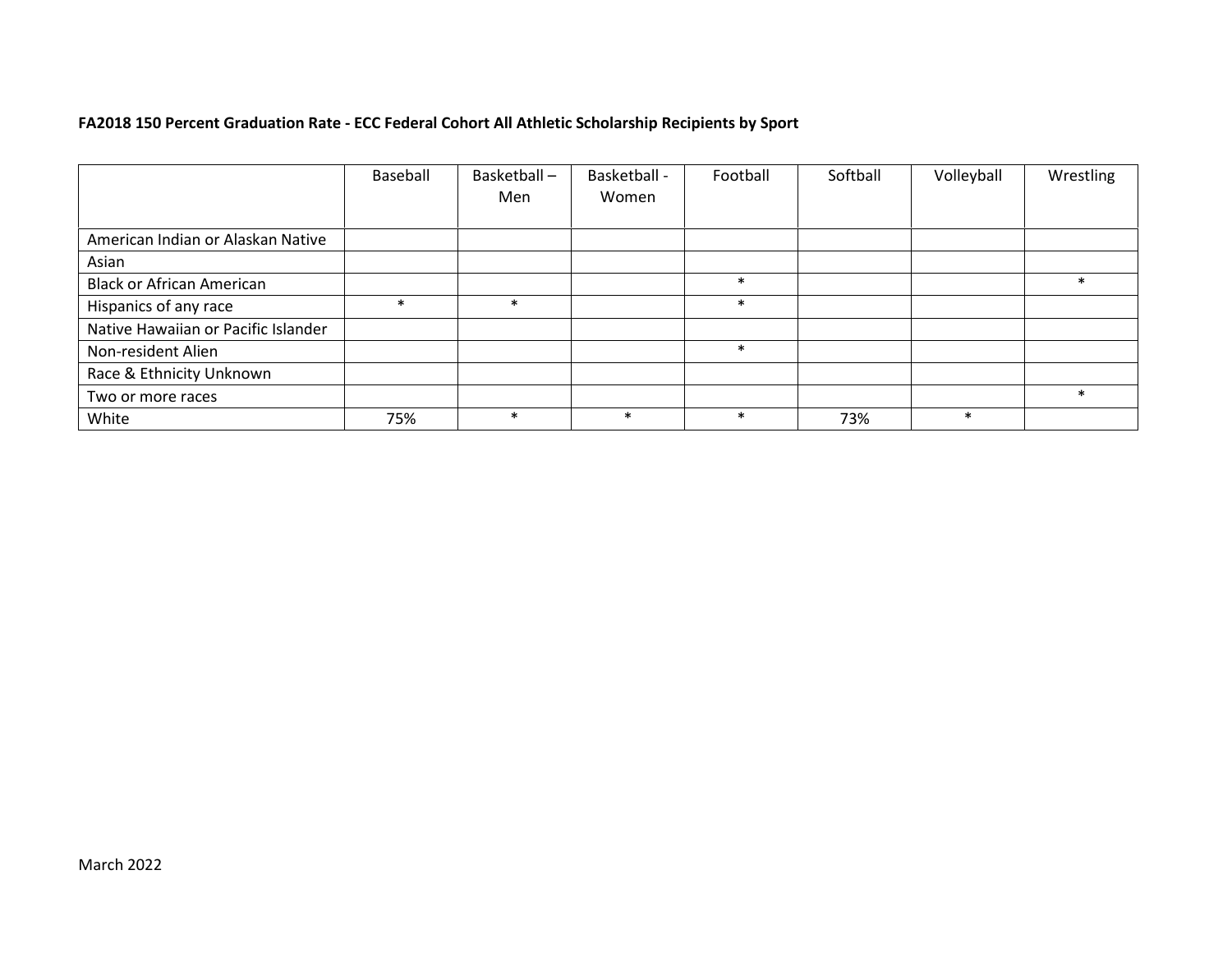# FA2018 150 Percent Graduation Rate - ECC Federal Cohort All Athletic Scholarship Recipients by Sport

|                                     | Baseball | Basketball-<br>Men | Basketball -<br>Women | Football | Softball | Volleyball | Wrestling |
|-------------------------------------|----------|--------------------|-----------------------|----------|----------|------------|-----------|
| American Indian or Alaskan Native   |          |                    |                       |          |          |            |           |
| Asian                               |          |                    |                       |          |          |            |           |
| <b>Black or African American</b>    |          |                    |                       | $\ast$   |          |            | $\ast$    |
| Hispanics of any race               | $\ast$   | $\ast$             |                       | $\ast$   |          |            |           |
| Native Hawaiian or Pacific Islander |          |                    |                       |          |          |            |           |
| Non-resident Alien                  |          |                    |                       | $\ast$   |          |            |           |
| Race & Ethnicity Unknown            |          |                    |                       |          |          |            |           |
| Two or more races                   |          |                    |                       |          |          |            | $\ast$    |
| White                               | 75%      | $\ast$             | $\ast$                | $\ast$   | 73%      | $\ast$     |           |